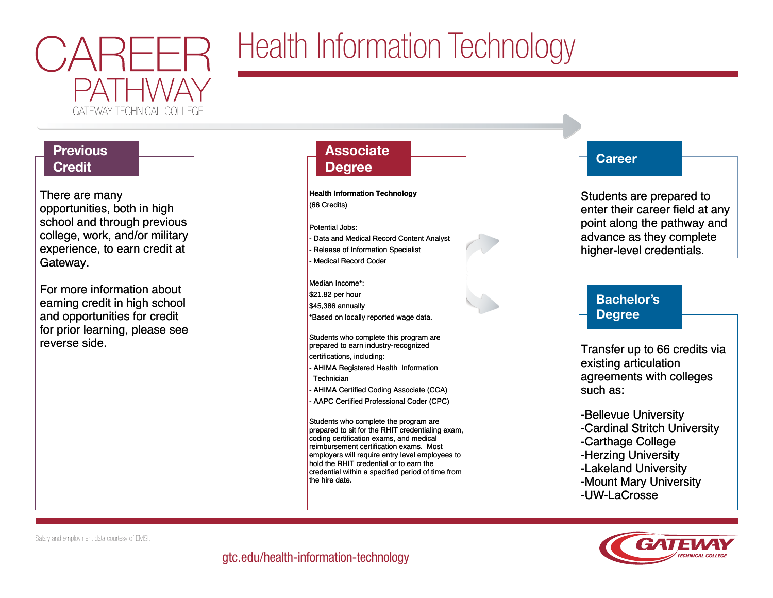

# Health Information Technology

## **Previous Credit**

There are many There are many opportunities, both in high opportunities, both in high school and through previous school and through previous college, work, and/or military college, work, and/or military experience, to earn credit at experience, to earn credit at Gateway. Gateway.

For more information about For more information about earning credit in high school earning credit in high school and opportunities for credit and opportunities for credit for prior learning, please see for prior learning, please see reverse side. reverse side.

## **Associate Degree**

**Health Information Technology Health Information Technology** (66 Credits) (66 Credits)

Potential Jobs: Potential Jobs: - Data and Medical Record Content Analyst - Data and Medical Record Content Analyst - Release of Information Specialist - Release of Information Specialist

- Medical Record Coder - Medical Record Coder

Median Income\*: Median Income\*: \$21.82 per hour \$21.82 per hour \$45,386 annually \$45,386 annually \*Based on locally reported wage data. \*Based on locally reported wage data.

Students who complete this program are Students who complete this program are prepared to earn industry-recognized prepared to earn industry-recognized certifications, including: certifications, including:

- AHIMA Registered Health Information AHIMA Registered Health Information Technician Technician
- AHIMA Certified Coding Associate (CCA) AHIMA Certified Coding Associate (CCA)
- AAPC Certified Professional Coder (CPC) AAPC Certified Professional Coder (CPC)

Students who complete the program are Students who complete the program are prepared to sit for the RHIT credentialing exam, prepared to sit for the RHIT credentialing exam, coding certification exams, and medical coding certification exams, and medical reimbursement certification exams. Most reimbursement certification exams. Most employers will require entry level employees to employers will require entry level employees to hold the RHIT credential or to earn the hold the RHIT credential or to earn the credential within a specified period of time from credential within a specified period of time from the hire date. the hire date.



Students are prepared to Students are prepared to enter their career field at any enter their career field at any point along the pathway and point along the pathway and advance as they complete advance as they complete higher-level credentials. higher-level credentials.

## Bachelor's Degree

Transfer up to 66 credits via Transfer up to 66 credits via existing articulation existing articulation agreements with colleges agreements with colleges such as: such as:

-Bellevue University -Bellevue University -Cardinal Stritch University -Cardinal Stritch University -Carthage College -Carthage College -Herzing University -Herzing University -Lakeland University -Lakeland University -Mount Mary University -Mount Mary University -UW-LaCrosse -UW-LaCrosse



Salary and employment data courtesy of EMSI.